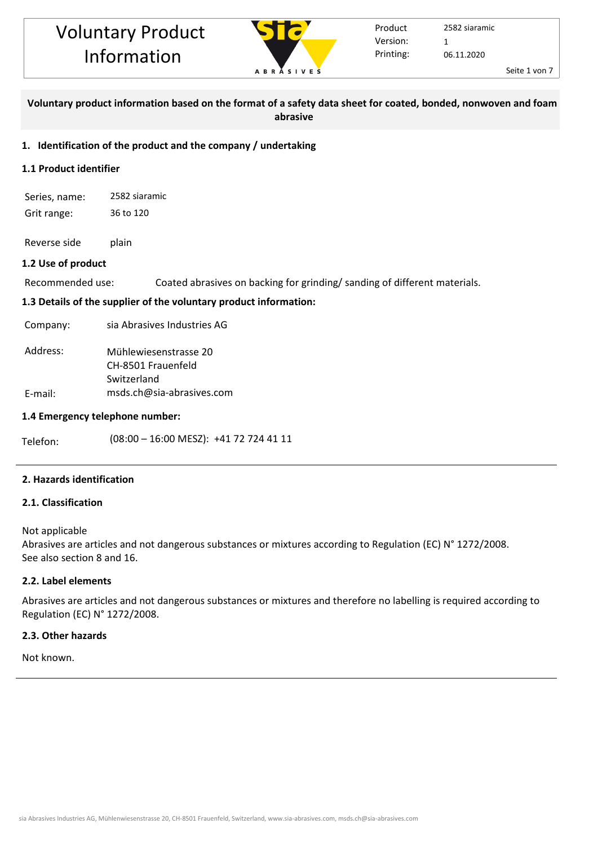

Seite 1 von 7

# **Voluntary product information based on the format of a safety data sheet for coated, bonded, nonwoven and foam abrasive**

# **1. Identification of the product and the company / undertaking**

# **1.1 Product identifier**

Series, name: 2582 siaramic Grit range: 36 to 120

Reverse side plain

# **1.2 Use of product**

Recommended use: Coated abrasives on backing for grinding/ sanding of different materials.

# **1.3 Details of the supplier of the voluntary product information:**

Company: sia Abrasives Industries AG

| Address: | Mühlewiesenstrasse 20     |
|----------|---------------------------|
|          | CH-8501 Frauenfeld        |
|          | Switzerland               |
| E-mail:  | msds.ch@sia-abrasives.com |

# **1.4 Emergency telephone number:**

Telefon: (08:00 - 16:00 MESZ): +41 72 724 41 11

# **2. Hazards identification**

# **2.1. Classification**

# Not applicable

Abrasives are articles and not dangerous substances or mixtures according to Regulation (EC) N° 1272/2008. See also section 8 and 16.

# **2.2. Label elements**

Abrasives are articles and not dangerous substances or mixtures and therefore no labelling is required according to Regulation (EC) N° 1272/2008.

# **2.3. Other hazards**

Not known.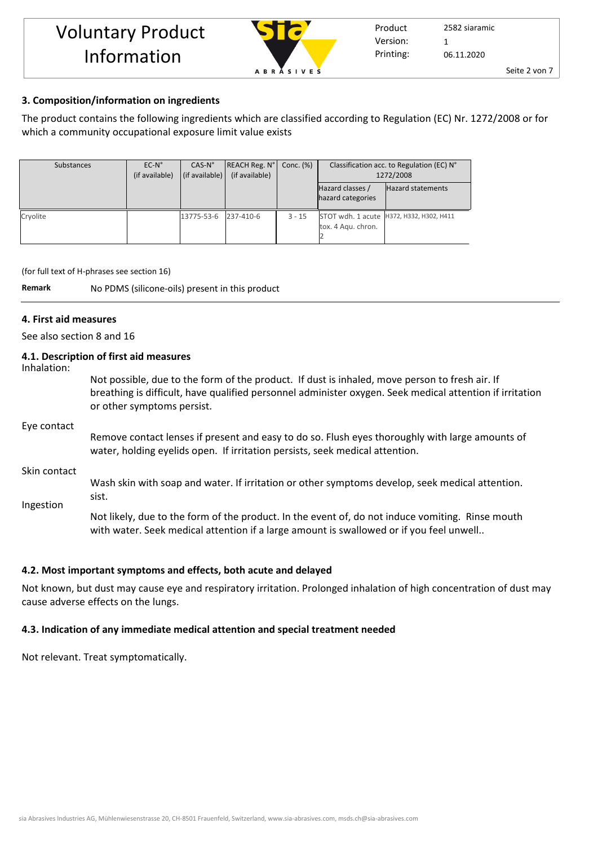

Printing: 2582 siaramic 06.11.2020 Version: 1

Product

Seite 2 von 7

## **3. Composition/information on ingredients**

The product contains the following ingredients which are classified according to Regulation (EC) Nr. 1272/2008 or for which a community occupational exposure limit value exists

| Substances | $EC-N^{\circ}$<br>(if available) | $CAS-N^{\circ}$<br>(if available) | REACH Reg. N°<br>(if available) | Conc. $(\%)$ | Classification acc. to Regulation (EC) N°<br>1272/2008 |                                            |  |
|------------|----------------------------------|-----------------------------------|---------------------------------|--------------|--------------------------------------------------------|--------------------------------------------|--|
|            |                                  |                                   |                                 |              | Hazard classes /<br>hazard categories                  | <b>Hazard statements</b>                   |  |
| Cryolite   |                                  | 13775-53-6                        | 237-410-6                       | $3 - 15$     | tox. 4 Agu. chron.                                     | STOT wdh. 1 acute   H372, H332, H302, H411 |  |

(for full text of H-phrases see section 16)

**Remark** No PDMS (silicone-oils) present in this product

## **4. First aid measures**

See also section 8 and 16

# **4.1. Description of first aid measures**

Inhalation:

Not possible, due to the form of the product. If dust is inhaled, move person to fresh air. If breathing is difficult, have qualified personnel administer oxygen. Seek medical attention if irritation or other symptoms persist.

#### Eye contact

Remove contact lenses if present and easy to do so. Flush eyes thoroughly with large amounts of water, holding eyelids open. If irritation persists, seek medical attention.

Skin contact

Ingestion Wash skin with soap and water. If irritation or other symptoms develop, seek medical attention. sist.

Not likely, due to the form of the product. In the event of, do not induce vomiting. Rinse mouth with water. Seek medical attention if a large amount is swallowed or if you feel unwell..

## **4.2. Most important symptoms and effects, both acute and delayed**

Not known, but dust may cause eye and respiratory irritation. Prolonged inhalation of high concentration of dust may cause adverse effects on the lungs.

## **4.3. Indication of any immediate medical attention and special treatment needed**

Not relevant. Treat symptomatically.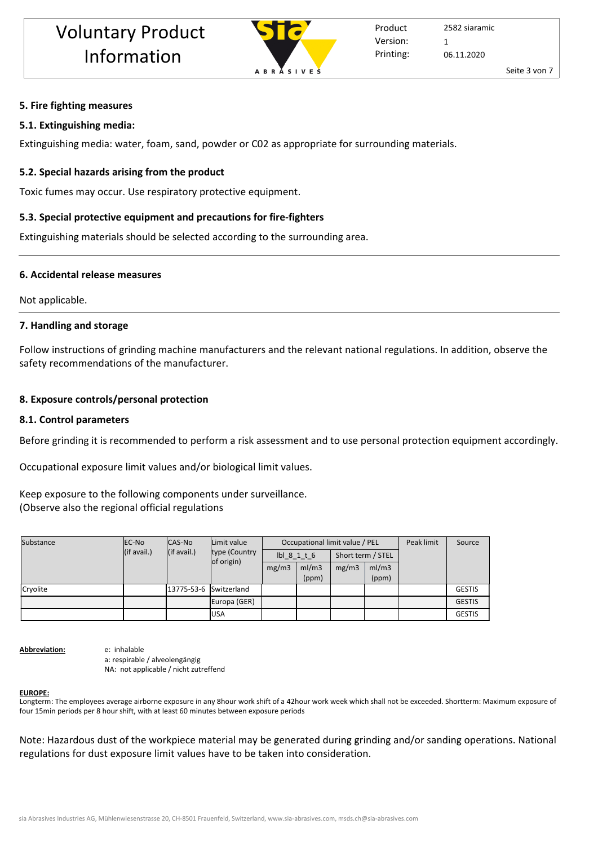

## **5. Fire fighting measures**

#### **5.1. Extinguishing media:**

Extinguishing media: water, foam, sand, powder or C02 as appropriate for surrounding materials.

#### **5.2. Special hazards arising from the product**

Toxic fumes may occur. Use respiratory protective equipment.

#### **5.3. Special protective equipment and precautions for fire-fighters**

Extinguishing materials should be selected according to the surrounding area.

#### **6. Accidental release measures**

Not applicable.

#### **7. Handling and storage**

Follow instructions of grinding machine manufacturers and the relevant national regulations. In addition, observe the safety recommendations of the manufacturer.

#### **8. Exposure controls/personal protection**

#### **8.1. Control parameters**

Before grinding it is recommended to perform a risk assessment and to use personal protection equipment accordingly.

Occupational exposure limit values and/or biological limit values.

# Keep exposure to the following components under surveillance.

## (Observe also the regional official regulations

| Substance | EC-No       | CAS-No                 | Limit value<br>type (Country<br>of origin) | Occupational limit value / PEL |                |                   |                | Peak limit | Source        |
|-----------|-------------|------------------------|--------------------------------------------|--------------------------------|----------------|-------------------|----------------|------------|---------------|
|           | (if avail.) | (if avail.)            |                                            | $I \cdot 8$ 1 t 6              |                | Short term / STEL |                |            |               |
|           |             |                        |                                            | mg/m3                          | ml/m3<br>(ppm) | mg/m3             | ml/m3<br>(ppm) |            |               |
| Cryolite  |             | 13775-53-6 Switzerland |                                            |                                |                |                   |                |            | <b>GESTIS</b> |
|           |             |                        | Europa (GER)                               |                                |                |                   |                |            | <b>GESTIS</b> |
|           |             |                        | <b>USA</b>                                 |                                |                |                   |                |            | <b>GESTIS</b> |

**Abbreviation:** e: inhalable

a: respirable / alveolengängig NA: not applicable / nicht zutreffend

#### **EUROPE:**

Longterm: The employees average airborne exposure in any 8hour work shift of a 42hour work week which shall not be exceeded. Shortterm: Maximum exposure of four 15min periods per 8 hour shift, with at least 60 minutes between exposure periods

Note: Hazardous dust of the workpiece material may be generated during grinding and/or sanding operations. National regulations for dust exposure limit values have to be taken into consideration.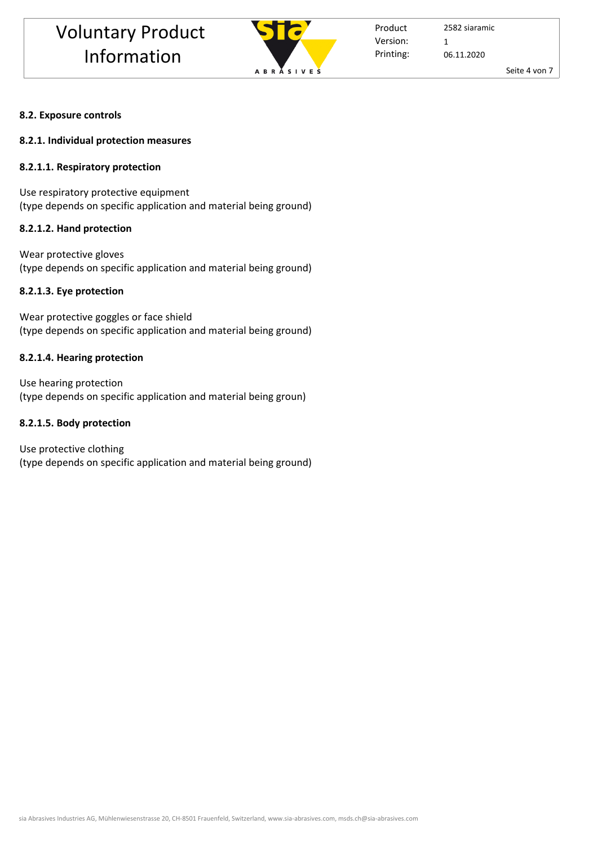

Product Printing: Version: 1

2582 siaramic 06.11.2020

Seite 4 von 7

# **8.2. Exposure controls**

## **8.2.1. Individual protection measures**

# **8.2.1.1. Respiratory protection**

Use respiratory protective equipment (type depends on specific application and material being ground)

# **8.2.1.2. Hand protection**

Wear protective gloves (type depends on specific application and material being ground)

# **8.2.1.3. Eye protection**

Wear protective goggles or face shield (type depends on specific application and material being ground)

# **8.2.1.4. Hearing protection**

Use hearing protection (type depends on specific application and material being groun)

# **8.2.1.5. Body protection**

Use protective clothing (type depends on specific application and material being ground)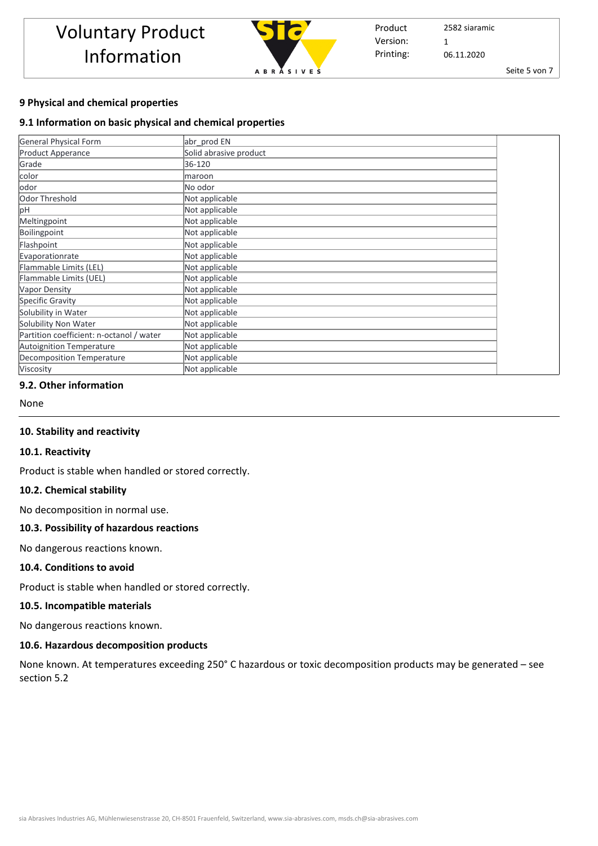

Product Printing: 2582 siaramic 06.11.2020 Version: 1

Seite 5 von 7

## **9 Physical and chemical properties**

## **9.1 Information on basic physical and chemical properties**

| <b>General Physical Form</b>             | abr prod EN            |  |
|------------------------------------------|------------------------|--|
| <b>Product Apperance</b>                 | Solid abrasive product |  |
| Grade                                    | 36-120                 |  |
| color                                    | maroon                 |  |
| odor                                     | No odor                |  |
| Odor Threshold                           | Not applicable         |  |
| рH                                       | Not applicable         |  |
| Meltingpoint                             | Not applicable         |  |
| Boilingpoint                             | Not applicable         |  |
| Flashpoint                               | Not applicable         |  |
| Evaporationrate                          | Not applicable         |  |
| Flammable Limits (LEL)                   | Not applicable         |  |
| Flammable Limits (UEL)                   | Not applicable         |  |
| Vapor Density                            | Not applicable         |  |
| Specific Gravity                         | Not applicable         |  |
| Solubility in Water                      | Not applicable         |  |
| Solubility Non Water                     | Not applicable         |  |
| Partition coefficient: n-octanol / water | Not applicable         |  |
| <b>Autoignition Temperature</b>          | Not applicable         |  |
| Decomposition Temperature                | Not applicable         |  |
| Viscosity                                | Not applicable         |  |

## **9.2. Other information**

None

## **10. Stability and reactivity**

#### **10.1. Reactivity**

Product is stable when handled or stored correctly.

## **10.2. Chemical stability**

No decomposition in normal use.

#### **10.3. Possibility of hazardous reactions**

No dangerous reactions known.

## **10.4. Conditions to avoid**

Product is stable when handled or stored correctly.

#### **10.5. Incompatible materials**

No dangerous reactions known.

# **10.6. Hazardous decomposition products**

None known. At temperatures exceeding 250° C hazardous or toxic decomposition products may be generated – see section 5.2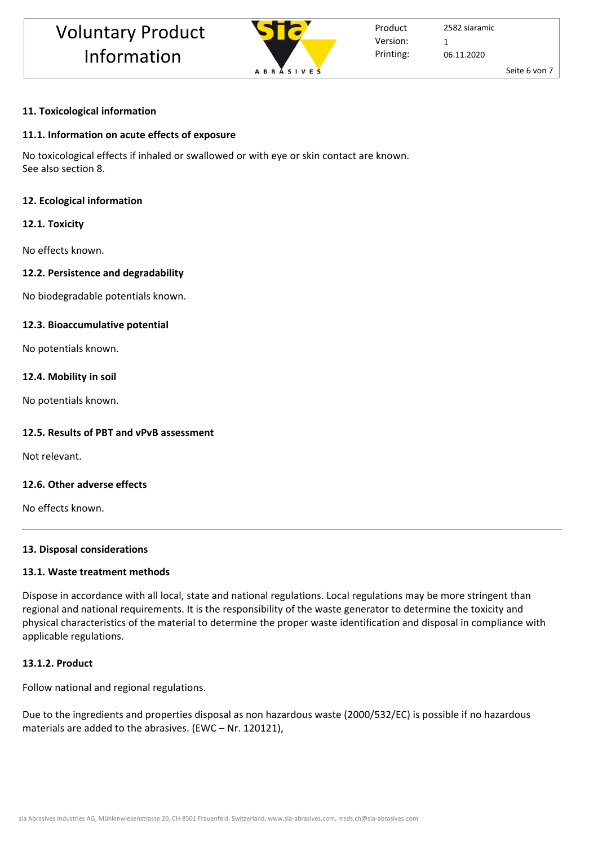

Product Printing: Version: 1

2582 siaramic 06.11.2020

Seite 6 von 7

# **11. Toxicological information**

# **11.1. Information on acute effects of exposure**

No toxicological effects if inhaled or swallowed or with eye or skin contact are known. See also section 8.

# **12. Ecological information**

# **12.1. Toxicity**

No effects known.

# **12.2. Persistence and degradability**

No biodegradable potentials known.

# **12.3. Bioaccumulative potential**

No potentials known.

# **12.4. Mobility in soil**

No potentials known.

# **12.5. Results of PBT and vPvB assessment**

Not relevant.

# **12.6. Other adverse effects**

No effects known.

# **13. Disposal considerations**

# **13.1. Waste treatment methods**

Dispose in accordance with all local, state and national regulations. Local regulations may be more stringent than regional and national requirements. It is the responsibility of the waste generator to determine the toxicity and physical characteristics of the material to determine the proper waste identification and disposal in compliance with applicable regulations.

# **13.1.2. Product**

Follow national and regional regulations.

Due to the ingredients and properties disposal as non hazardous waste (2000/532/EC) is possible if no hazardous materials are added to the abrasives. (EWC – Nr. 120121),